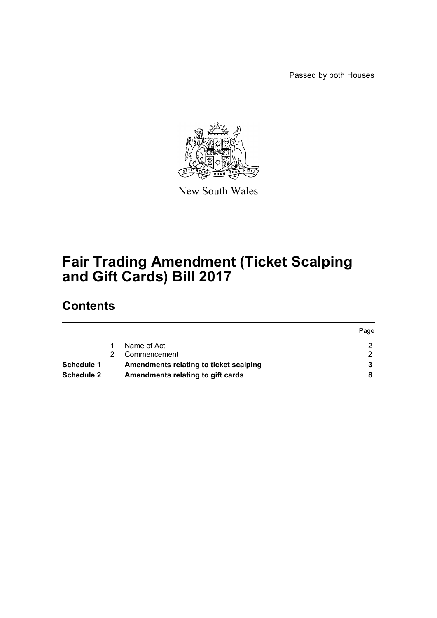Passed by both Houses



New South Wales

# **Fair Trading Amendment (Ticket Scalping and Gift Cards) Bill 2017**

# **Contents**

|            |                                        | Page |
|------------|----------------------------------------|------|
|            | Name of Act                            |      |
|            | Commencement                           |      |
| Schedule 1 | Amendments relating to ticket scalping |      |
| Schedule 2 | Amendments relating to gift cards      |      |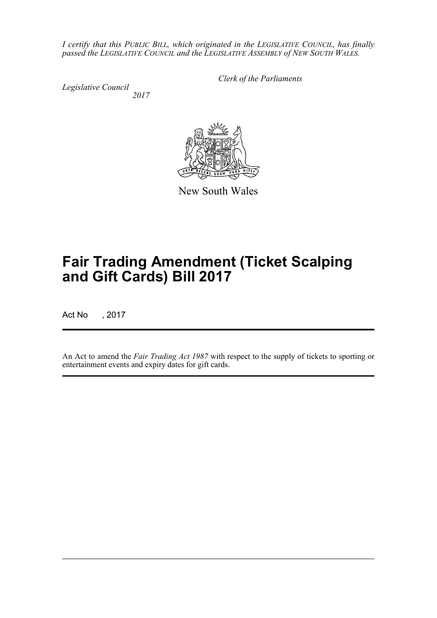*I certify that this PUBLIC BILL, which originated in the LEGISLATIVE COUNCIL, has finally passed the LEGISLATIVE COUNCIL and the LEGISLATIVE ASSEMBLY of NEW SOUTH WALES.*

*Legislative Council 2017* *Clerk of the Parliaments*



New South Wales

# **Fair Trading Amendment (Ticket Scalping and Gift Cards) Bill 2017**

Act No , 2017

An Act to amend the *Fair Trading Act 1987* with respect to the supply of tickets to sporting or entertainment events and expiry dates for gift cards.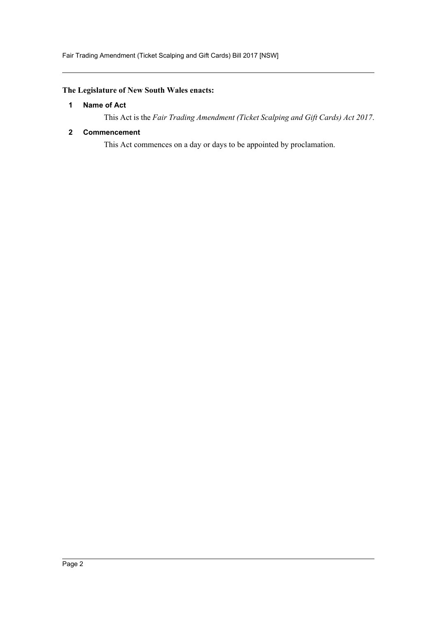# <span id="page-2-0"></span>**The Legislature of New South Wales enacts:**

# **1 Name of Act**

This Act is the *Fair Trading Amendment (Ticket Scalping and Gift Cards) Act 2017*.

## <span id="page-2-1"></span>**2 Commencement**

This Act commences on a day or days to be appointed by proclamation.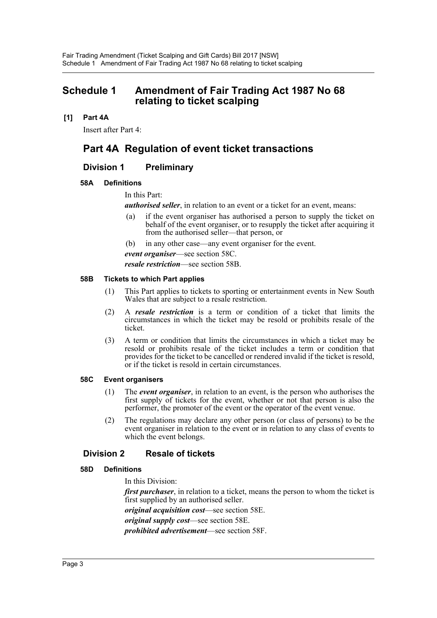# <span id="page-3-0"></span>**Schedule 1 Amendment of Fair Trading Act 1987 No 68 relating to ticket scalping**

## **[1] Part 4A**

Insert after Part 4:

# **Part 4A Regulation of event ticket transactions**

# **Division 1 Preliminary**

## **58A Definitions**

In this Part:

*authorised seller*, in relation to an event or a ticket for an event, means:

- (a) if the event organiser has authorised a person to supply the ticket on behalf of the event organiser, or to resupply the ticket after acquiring it from the authorised seller—that person, or
- (b) in any other case—any event organiser for the event.
- *event organiser*—see section 58C.

*resale restriction*—see section 58B.

#### **58B Tickets to which Part applies**

- (1) This Part applies to tickets to sporting or entertainment events in New South Wales that are subject to a resale restriction.
- (2) A *resale restriction* is a term or condition of a ticket that limits the circumstances in which the ticket may be resold or prohibits resale of the ticket.
- (3) A term or condition that limits the circumstances in which a ticket may be resold or prohibits resale of the ticket includes a term or condition that provides for the ticket to be cancelled or rendered invalid if the ticket is resold, or if the ticket is resold in certain circumstances.

#### **58C Event organisers**

- (1) The *event organiser*, in relation to an event, is the person who authorises the first supply of tickets for the event, whether or not that person is also the performer, the promoter of the event or the operator of the event venue.
- (2) The regulations may declare any other person (or class of persons) to be the event organiser in relation to the event or in relation to any class of events to which the event belongs.

# **Division 2 Resale of tickets**

#### **58D Definitions**

In this Division:

*first purchaser*, in relation to a ticket, means the person to whom the ticket is first supplied by an authorised seller.

*original acquisition cost*—see section 58E.

*original supply cost*—see section 58E.

*prohibited advertisement*—see section 58F.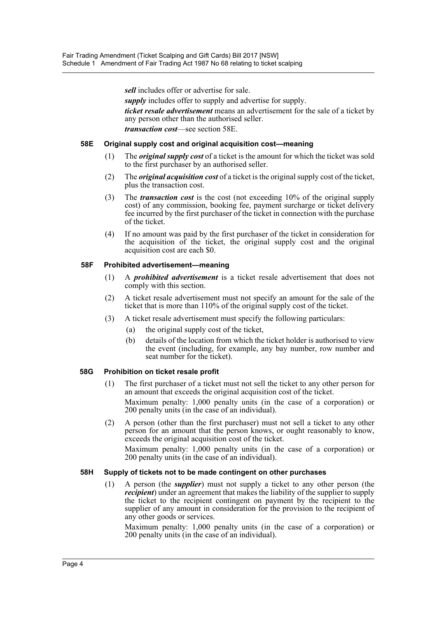*sell* includes offer or advertise for sale.

*supply* includes offer to supply and advertise for supply.

*ticket resale advertisement* means an advertisement for the sale of a ticket by any person other than the authorised seller. *transaction cost*—see section 58E.

#### **58E Original supply cost and original acquisition cost—meaning**

- (1) The *original supply cost* of a ticket is the amount for which the ticket was sold to the first purchaser by an authorised seller.
- (2) The *original acquisition cost* of a ticket is the original supply cost of the ticket, plus the transaction cost.
- (3) The *transaction cost* is the cost (not exceeding 10% of the original supply cost) of any commission, booking fee, payment surcharge or ticket delivery fee incurred by the first purchaser of the ticket in connection with the purchase of the ticket.
- (4) If no amount was paid by the first purchaser of the ticket in consideration for the acquisition of the ticket, the original supply cost and the original acquisition cost are each \$0.

## **58F Prohibited advertisement—meaning**

- (1) A *prohibited advertisement* is a ticket resale advertisement that does not comply with this section.
- (2) A ticket resale advertisement must not specify an amount for the sale of the ticket that is more than 110% of the original supply cost of the ticket.
- (3) A ticket resale advertisement must specify the following particulars:
	- (a) the original supply cost of the ticket,
	- (b) details of the location from which the ticket holder is authorised to view the event (including, for example, any bay number, row number and seat number for the ticket).

#### **58G Prohibition on ticket resale profit**

- (1) The first purchaser of a ticket must not sell the ticket to any other person for an amount that exceeds the original acquisition cost of the ticket. Maximum penalty: 1,000 penalty units (in the case of a corporation) or 200 penalty units (in the case of an individual).
- (2) A person (other than the first purchaser) must not sell a ticket to any other person for an amount that the person knows, or ought reasonably to know, exceeds the original acquisition cost of the ticket.

Maximum penalty: 1,000 penalty units (in the case of a corporation) or 200 penalty units (in the case of an individual).

#### **58H Supply of tickets not to be made contingent on other purchases**

(1) A person (the *supplier*) must not supply a ticket to any other person (the *recipient*) under an agreement that makes the liability of the supplier to supply the ticket to the recipient contingent on payment by the recipient to the supplier of any amount in consideration for the provision to the recipient of any other goods or services.

Maximum penalty: 1,000 penalty units (in the case of a corporation) or 200 penalty units (in the case of an individual).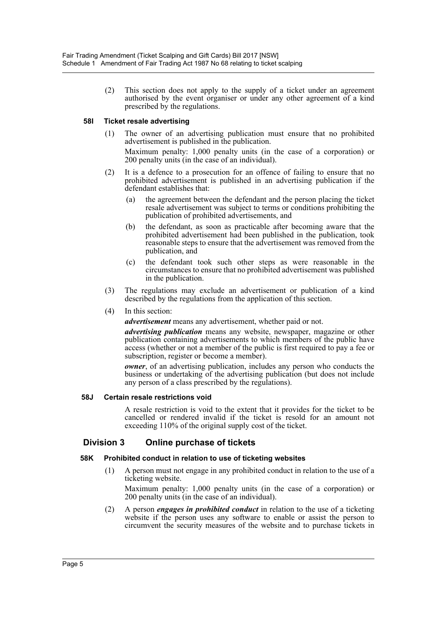(2) This section does not apply to the supply of a ticket under an agreement authorised by the event organiser or under any other agreement of a kind prescribed by the regulations.

## **58I Ticket resale advertising**

(1) The owner of an advertising publication must ensure that no prohibited advertisement is published in the publication.

Maximum penalty: 1,000 penalty units (in the case of a corporation) or 200 penalty units (in the case of an individual).

- (2) It is a defence to a prosecution for an offence of failing to ensure that no prohibited advertisement is published in an advertising publication if the defendant establishes that:
	- (a) the agreement between the defendant and the person placing the ticket resale advertisement was subject to terms or conditions prohibiting the publication of prohibited advertisements, and
	- (b) the defendant, as soon as practicable after becoming aware that the prohibited advertisement had been published in the publication, took reasonable steps to ensure that the advertisement was removed from the publication, and
	- (c) the defendant took such other steps as were reasonable in the circumstances to ensure that no prohibited advertisement was published in the publication.
- (3) The regulations may exclude an advertisement or publication of a kind described by the regulations from the application of this section.

#### (4) In this section:

*advertisement* means any advertisement, whether paid or not.

*advertising publication* means any website, newspaper, magazine or other publication containing advertisements to which members of the public have access (whether or not a member of the public is first required to pay a fee or subscription, register or become a member).

*owner*, of an advertising publication, includes any person who conducts the business or undertaking of the advertising publication (but does not include any person of a class prescribed by the regulations).

#### **58J Certain resale restrictions void**

A resale restriction is void to the extent that it provides for the ticket to be cancelled or rendered invalid if the ticket is resold for an amount not exceeding 110% of the original supply cost of the ticket.

# **Division 3 Online purchase of tickets**

#### **58K Prohibited conduct in relation to use of ticketing websites**

(1) A person must not engage in any prohibited conduct in relation to the use of a ticketing website.

Maximum penalty: 1,000 penalty units (in the case of a corporation) or 200 penalty units (in the case of an individual).

(2) A person *engages in prohibited conduct* in relation to the use of a ticketing website if the person uses any software to enable or assist the person to circumvent the security measures of the website and to purchase tickets in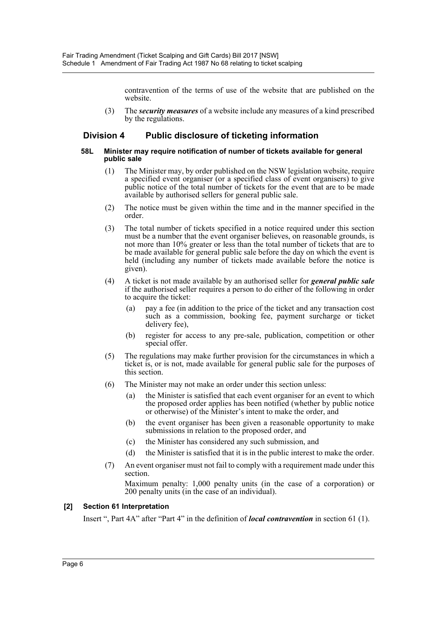contravention of the terms of use of the website that are published on the website.

(3) The *security measures* of a website include any measures of a kind prescribed by the regulations.

# **Division 4 Public disclosure of ticketing information**

#### **58L Minister may require notification of number of tickets available for general public sale**

- (1) The Minister may, by order published on the NSW legislation website, require a specified event organiser (or a specified class of event organisers) to give public notice of the total number of tickets for the event that are to be made available by authorised sellers for general public sale.
- (2) The notice must be given within the time and in the manner specified in the order.
- (3) The total number of tickets specified in a notice required under this section must be a number that the event organiser believes, on reasonable grounds, is not more than 10% greater or less than the total number of tickets that are to be made available for general public sale before the day on which the event is held (including any number of tickets made available before the notice is given).
- (4) A ticket is not made available by an authorised seller for *general public sale* if the authorised seller requires a person to do either of the following in order to acquire the ticket:
	- (a) pay a fee (in addition to the price of the ticket and any transaction cost such as a commission, booking fee, payment surcharge or ticket delivery fee),
	- (b) register for access to any pre-sale, publication, competition or other special offer.
- (5) The regulations may make further provision for the circumstances in which a ticket is, or is not, made available for general public sale for the purposes of this section.
- (6) The Minister may not make an order under this section unless:
	- (a) the Minister is satisfied that each event organiser for an event to which the proposed order applies has been notified (whether by public notice or otherwise) of the Minister's intent to make the order, and
	- (b) the event organiser has been given a reasonable opportunity to make submissions in relation to the proposed order, and
	- (c) the Minister has considered any such submission, and
	- (d) the Minister is satisfied that it is in the public interest to make the order.
- (7) An event organiser must not fail to comply with a requirement made under this section.

Maximum penalty: 1,000 penalty units (in the case of a corporation) or 200 penalty units (in the case of an individual).

## **[2] Section 61 Interpretation**

Insert ", Part 4A" after "Part 4" in the definition of *local contravention* in section 61 (1).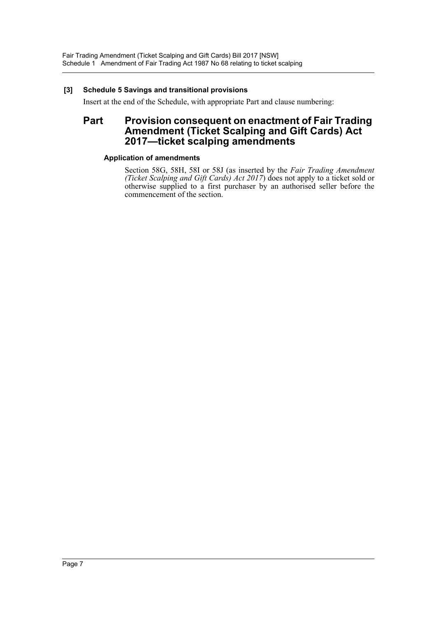## **[3] Schedule 5 Savings and transitional provisions**

Insert at the end of the Schedule, with appropriate Part and clause numbering:

# **Part Provision consequent on enactment of Fair Trading Amendment (Ticket Scalping and Gift Cards) Act 2017—ticket scalping amendments**

## **Application of amendments**

Section 58G, 58H, 58I or 58J (as inserted by the *Fair Trading Amendment (Ticket Scalping and Gift Cards) Act 2017*) does not apply to a ticket sold or otherwise supplied to a first purchaser by an authorised seller before the commencement of the section.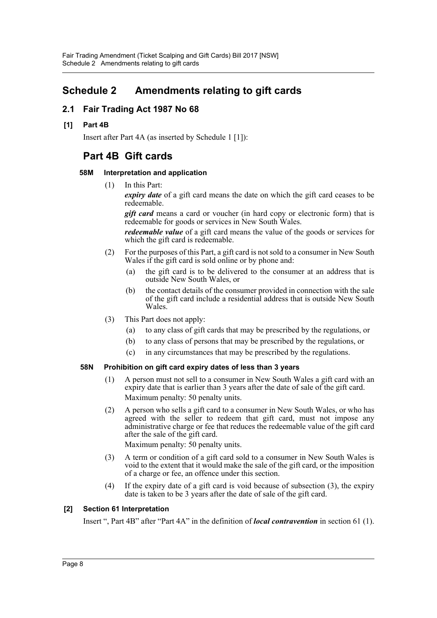# **Schedule 2 Amendments relating to gift cards**

# **2.1 Fair Trading Act 1987 No 68**

**[1] Part 4B**

Insert after Part 4A (as inserted by Schedule 1 [1]):

# **Part 4B Gift cards**

## **58M Interpretation and application**

(1) In this Part:

*expiry date* of a gift card means the date on which the gift card ceases to be redeemable.

**gift card** means a card or voucher (in hard copy or electronic form) that is redeemable for goods or services in New South Wales.

*redeemable value* of a gift card means the value of the goods or services for which the gift card is redeemable.

- (2) For the purposes of this Part, a gift card is not sold to a consumer in New South Wales if the gift card is sold online or by phone and:
	- (a) the gift card is to be delivered to the consumer at an address that is outside New South Wales, or
	- (b) the contact details of the consumer provided in connection with the sale of the gift card include a residential address that is outside New South Wales.
- (3) This Part does not apply:
	- (a) to any class of gift cards that may be prescribed by the regulations, or
	- (b) to any class of persons that may be prescribed by the regulations, or
	- (c) in any circumstances that may be prescribed by the regulations.

## **58N Prohibition on gift card expiry dates of less than 3 years**

- (1) A person must not sell to a consumer in New South Wales a gift card with an expiry date that is earlier than 3 years after the date of sale of the gift card. Maximum penalty: 50 penalty units.
- (2) A person who sells a gift card to a consumer in New South Wales, or who has agreed with the seller to redeem that gift card, must not impose any administrative charge or fee that reduces the redeemable value of the gift card after the sale of the gift card.

Maximum penalty: 50 penalty units.

- (3) A term or condition of a gift card sold to a consumer in New South Wales is void to the extent that it would make the sale of the gift card, or the imposition of a charge or fee, an offence under this section.
- (4) If the expiry date of a gift card is void because of subsection (3), the expiry date is taken to be 3 years after the date of sale of the gift card.

## **[2] Section 61 Interpretation**

Insert ", Part 4B" after "Part 4A" in the definition of *local contravention* in section 61 (1).